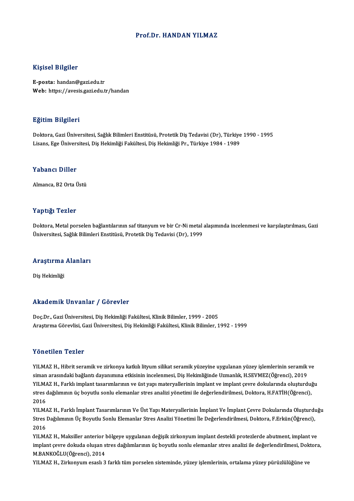### Prof.Dr.HANDAN YILMAZ

### Kişisel Bilgiler

E-posta: handan@gazi.edu.tr Web: https://avesis.gazi.edu.tr/handan

### Eğitim Bilgileri

<mark>Eğitim Bilgileri</mark><br>Doktora, Gazi Üniversitesi, Sağlık Bilimleri Enstitüsü, Protetik Diş Tedavisi (Dr), Türkiye 1990 - 1995<br>Lisans, Ego Üniversitesi, Diş Hekimliği Fekültesi, Diş Hekimliği Pr., Türkiye 1994, 1999 Lisansın Dargarora<br>Doktora, Gazi Üniversitesi, Sağlık Bilimleri Enstitüsü, Protetik Diş Tedavisi (Dr), Türkiye<br>Lisans, Ege Üniversitesi, Diş Hekimliği Fakültesi, Diş Hekimliği Pr., Türkiye 1984 - 1989 Lisans, Ege Üniversitesi, Diş Hekimliği Fakültesi, Diş Hekimliği Pr., Türkiye 1984 - 1989<br>Yabancı Diller

Almanca, B2 Orta Üstü

## Yaptığı Tezler

Doktora, Metal porselen bağlantılarının saf titanyum ve bir Cr-Ni metal alaşımında incelenmesi ve karşılaştırılması, Gazi Üniversitesi, Sağlık Bilimleri Enstitüsü, Protetik Diş Tedavisi (Dr), 1999

# <sub>oniversitesi, saglık bilimi<br>Araştırma Alanları</sub> <mark>Araştırma</mark><br>Diş Hekimliği

# Akademik Unvanlar / Görevler

Doç.Dr., Gazi Üniversitesi, Diş Hekimliği Fakültesi, Klinik Bilimler, 1999 - 2005 AraştırmaGörevlisi,GaziÜniversitesi,DişHekimliğiFakültesi,KlinikBilimler,1992 -1999

### Yönetilen Tezler

Yönetilen Tezler<br>YILMAZ H., Hibrit seramik ve zirkonya katkılı lityum silikat seramik yüzeyine uygulanan yüzey işlemlerinin seramik ve<br>siman arasındaki bağlantı dayanımına etkisinin inselenmesi. Dis Hekimliğinde Uzmanlık, s ostocitori siosist<br>SilMAZ H., Hibrit seramik ve zirkonya katkılı lityum silikat seramik yüzeyine uygulanan yüzey işlemlerinin seramik<br>Siman arasındaki bağlantı dayanımına etkisinin incelenmesi, Diş Hekimliğinde Uzmanlık, YILMAZ H., Hibrit seramik ve zirkonya katkılı lityum silikat seramik yüzeyine uygulanan yüzey işlemlerinin seramik ve<br>siman arasındaki bağlantı dayanımına etkisinin incelenmesi, Diş Hekimliğinde Uzmanlık, H.SEVMEZ(Öğrenci) siman arasındaki bağlantı dayanımına etkisinin incelenmesi, Diş Hekimliğinde Uzmanlık, H.SEVMEZ(Öğrenci), 2019<br>YILMAZ H., Farklı implant tasarımlarının ve üst yapı materyallerinin implant ve implant çevre dokularında oluşt YILMA<br>stres<br>2016<br>vu M/ stres dağılımının üç boyutlu sonlu elemanlar stres analizi yönetimi ile değerlendirilmesi, Doktora, H.FATİH(Öğrenci),<br>2016<br>YILMAZ H., Farklı İmplant Tasarımlarının Ve Üst Yapı Materyallerinin İmplant Ve İmplant Çevre Dokul

2016<br>YILMAZ H., Farklı İmplant Tasarımlarının Ve Üst Yapı Materyallerinin İmplant Ve İmplant Çevre Dokularında Oluşturdı<br>Stres Dağılımının Üç Boyutlu Sonlu Elemanlar Stres Analizi Yönetimi İle Değerlendirilmesi, Doktora, F YILMA<br>Stres<br>2016<br>VILMA Stres Dağılımının Üç Boyutlu Sonlu Elemanlar Stres Analizi Yönetimi İle Değerlendirilmesi, Doktora, F.Erkün(Öğrenci),<br>2016<br>YILMAZ H., Maksiller anterior bölgeye uygulanan değişik zirkonyum implant destekli protezlerde abut

2016<br>YILMAZ H., Maksiller anterior bölgeye uygulanan değişik zirkonyum implant destekli protezlerde abutment, implant ve<br>implant çevre dokuda oluşan stres dağılımlarının üç boyutlu sonlu elemanlar stres analizi ile değerle YILMAZ H., Maksiller anterior l<br>implant çevre dokuda oluşan s<br>M.BANKOĞLU(Öğrenci), 2014<br>YU MAZ H. Zirkonyum saaslı 3 implant çevre dokuda oluşan stres dağılımlarının üç boyutlu sonlu elemanlar stres analizi ile değerlendirilmesi, Dok<br>M.BANKOĞLU(Öğrenci), 2014<br>YILMAZ H., Zirkonyum esaslı 3 farklı tüm porselen sisteminde, yüzey işlemlerini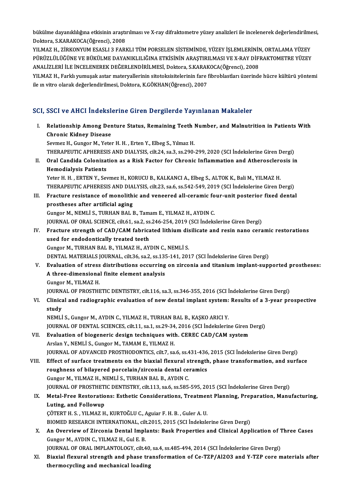bükülme dayanıklılığına etkisinin araştırılması ve X-ray difraktometre yüzey analizleri ile incelenerek değerlendirilmesi,<br>Dektara S.KARAKOCA(Öğrengi), 2008 bükülme dayanıklılığına etkisinin araştı<br>Doktora, S.KARAKOCA(Öğrenci), 2008<br>YU MAZ H. ZİRKONYUM ESASLI 2 FARI bükülme dayanıklılığına etkisinin araştırılması ve X-ray difraktometre yüzey analizleri ile incelenerek değerlendirilme<br>Doktora, S.KARAKOCA(Öğrenci), 2008<br>YILMAZ H., ZİRKONYUM ESASLI 3 FARKLI TÜM PORSELEN SİSTEMİNDE, YÜZEY

Doktora, S.KARAKOCA(Öğrenci), 2008<br>YILMAZ H., ZİRKONYUM ESASLI 3 FARKLI TÜM PORSELEN SİSTEMİNDE, YÜZEY İŞLEMLERİNİN, ORTALAMA YÜZEY<br>PÜRÜZLÜLÜĞÜNE VE BÜKÜLME DAYANIKLILIĞINA ETKİSİNİN ARASTIRILMASI VE X-RAY DİFRAKTOMETRE YÜ YILMAZ H., ZİRKONYUM ESASLI 3 FARKLI TÜM PORSELEN SİSTEMİNDE, YÜZEY İŞLEMLERİNİN<br>PÜRÜZLÜLÜĞÜNE VE BÜKÜLME DAYANIKLILIĞINA ETKİSİNİN ARAŞTIRILMASI VE X-RAY DİFI<br>ANALİZLERİ İLE İNCELENEREK DEĞERLENDİRİLMESİ, Doktora, S.KARAK ANALİZLERİ İLE İNCELENEREK DEĞERLENDİRİLMESİ, Doktora, S.KARAK<br>YILMAZ H., Farklı yumuşak astar materyallerinin sitotoksisitelerinin fare 1<br>ile ın vitro olarak değerlendirilmesi, Doktora, K.GÖKHAN(Öğrenci), 2007

YILMAZ H., Farklı yumuşak astar materyallerinin sitotoksisitelerinin fare fibroblastları üzerinde hücre kültürü yöntemi<br>ile ın vitro olarak değerlendirilmesi, Doktora, K.GÖKHAN(Öğrenci), 2007

## SCI, SSCI ve AHCI İndekslerine Giren Dergilerde Yayınlanan Makaleler

CI, SSCI ve AHCI İndekslerine Giren Dergilerde Yayınlanan Makaleler<br>I. Relationship Among Denture Status, Remaining Teeth Number, and Malnutrition in Patients With<br>Chronis Kidney Disease Chronic Chronic Kidney<br>Chronic Kidney Disease<br>Saumar H. Cungar M. Vata Relationship Among Denture Status, Remaining Teeth |<br>Chronic Kidney Disease<br>Sevmez H., Gungor M., Yeter H. H. , Erten Y., Elbeg S., Yılmaz H.<br>THEDADELITIC ADHEDESIS AND DIALYSIS silt 24, ss 2, ss 200. Chronic Kidney Disease<br>Sevmez H., Gungor M., Yeter H. H. , Erten Y., Elbeg S., Yılmaz H.<br>THERAPEUTIC APHERESIS AND DIALYSIS, cilt.24, sa.3, ss.290-299, 2020 (SCI İndekslerine Giren Dergi)<br>Oral Candida Colonization as a Bis Sevmez H., Gungor M., Yeter H. H. , Erten Y., Elbeg S., Yılmaz H.<br>THERAPEUTIC APHERESIS AND DIALYSIS, cilt.24, sa.3, ss.290-299, 2020 (SCI İndekslerine Giren Dergi)<br>II. Oral Candida Colonization as a Risk Factor for Chroni THERAPEUTIC APHERESI<br>Oral Candida Coloniza<br>Hemodialysis Patients<br><sup>Votor H.</sup> H. ERTEN V. Set Oral Candida Colonization as a Risk Factor for Chronic Inflammation and Atherosclerc<br>Hemodialysis Patients<br>Yeter H. H. , ERTEN Y., Sevmez H., KORUCU B., KALKANCI A., Elbeg S., ALTOK K., Bali M., YILMAZ H.<br>THEDADELLTIC ADHE Hemodialysis Patients<br>Yeter H. H. , ERTEN Y., Sevmez H., KORUCU B., KALKANCI A., Elbeg S., ALTOK K., Bali M., YILMAZ H.<br>THERAPEUTIC APHERESIS AND DIALYSIS, cilt.23, sa.6, ss.542-549, 2019 (SCI İndekslerine Giren Dergi)<br>Ena Yeter H. H., ERTEN Y., Sevmez H., KORUCU B., KALKANCI A., Elbeg S., ALTOK K., Bali M., YILMAZ H.<br>THERAPEUTIC APHERESIS AND DIALYSIS, cilt.23, sa.6, ss.542-549, 2019 (SCI Indekslerine Giren Dergi)<br>III. Fracture resistance o THERAPEUTIC APHERESIS AND DIA<br>Fracture resistance of monolith<br>prostheses after artificial aging<br>Cunger M\_NEMLLS\_TUBHAN BALL Fracture resistance of monolithic and veneered all-ceramic fo<br>prostheses after artificial aging<br>Gungor M., NEMLİ S., TURHAN BAL B., Tamam E., YILMAZ H., AYDIN C.<br>JOUPNAL OF OPAL SCIENCE silt 61, 82,2 ss.246,254,2019 (SCL i prostheses after artificial aging<br>Gungor M., NEMLİ S., TURHAN BAL B., Tamam E., YILMAZ H., AYDIN C.<br>JOURNAL OF ORAL SCIENCE, cilt.61, sa.2, ss.246-254, 2019 (SCI İndekslerine Giren Dergi)<br>Erasture strength of CAD (CAM febr Gungor M., NEMLİ S., TURHAN BAL B., Tamam E., YILMAZ H., AYDIN C.<br>JOURNAL OF ORAL SCIENCE, cilt.61, sa.2, ss.246-254, 2019 (SCI İndekslerine Giren Dergi)<br>IV. Fracture strength of CAD/CAM fabricated lithium disilicate and r JOURNAL OF ORAL SCIENCE, cilt.61, sa.2, ss<br>Fracture strength of CAD/CAM fabrica<br>used for endodontically treated teeth<br>Cunger M\_TUPHAN PAL P\_VILMAZ H\_AV Gungor M., TURHAN BAL B., YILMAZ H., AYDIN C., NEMLİ S. used for endodontically treated teeth<br>Gungor M., TURHAN BAL B., YILMAZ H., AYDIN C., NEMLİ S.<br>DENTAL MATERIALS JOURNAL, cilt.36, sa.2, ss.135-141, 2017 (SCI İndekslerine Giren Dergi)<br>Fyaluation of strees distributions oscu V. Evaluation of stress distributions occurring on zirconia and titanium implant-supported prostheses:<br>A three-dimensional finite element analysis DENTAL MATERIALS JOURNAL, cilt.36, sa.2, ss.13!<br>Evaluation of stress distributions occurring<br>A three-dimensional finite element analysis<br>Cungen M -VII MAZ H Gungor M., YILMAZ H. A three-dimensional finite element analysis<br>Gungor M., YILMAZ H.<br>JOURNAL OF PROSTHETIC DENTISTRY, cilt.116, sa.3, ss.346-355, 2016 (SCI İndekslerine Giren Dergi)<br>Clinical and radiographic evoluation of new dental implant e VI. Clinical and radiographic evaluation of newdental implant system: Results of a 3-year prospective **JOURN**<br><mark>Clinica</mark><br>study<br>NEMI i NEMLİ S., Gungor M., AYDIN C., YILMAZ H., TURHAN BAL B., KAŞKO ARICI Y. study<br>NEMLİ S., Gungor M., AYDIN C., YILMAZ H., TURHAN BAL B., KAŞKO ARICI Y.<br>JOURNAL OF DENTAL SCIENCES, cilt.11, sa.1, ss.29-34, 2016 (SCI İndekslerine Giren Dergi)<br>Fyalvation of biogonoria design techniques with .CEREC VII. Evaluation of biogeneric design techniques with. CEREC CAD/CAM system<br>Arslan Y., NEMLİ S., Gungor M., TAMAM E., YILMAZ H. JOURNAL OF DENTAL SCIENCES, cilt.11, sa.1, ss.29-34<br>Evaluation of biogeneric design techniques with<br>Arslan Y., NEMLÌ S., Gungor M., TAMAM E., YILMAZ H.<br>JOUPNAL OF ADVANCED PROSTHODONTICS, cilt.7, sa JOURNAL OF ADVANCED PROSTHODONTICS, cilt.7, sa.6, ss.431-436, 2015 (SCI İndekslerine Giren Dergi) Arslan Y., NEMLİ S., Gungor M., TAMAM E., YILMAZ H.<br>JOURNAL OF ADVANCED PROSTHODONTICS, cilt.7, sa.6, ss.431-436, 2015 (SCI İndekslerine Giren Dergi)<br>VIII. Effect of surface treatments on the biaxial flexural strength, pha JOURNAL OF ADVANCED PROSTHODONTICS, cilt.7, sa.6, ss.431-436<br>Effect of surface treatments on the biaxial flexural strength<br>roughness of bilayered porcelain/zirconia dental ceramics<br>Cunger M, VII MAZ H, NEMLIS, TUBHAN BAL B roughness of bilayered porcelain/zirconia dental ceramics<br>Gungor M., YILMAZ H., NEMLİ S., TURHAN BAL B., AYDIN C. roughness of bilayered porcelain/zirconia dental ceramics<br>Gungor M., YILMAZ H., NEMLİ S., TURHAN BAL B., AYDIN C.<br>JOURNAL OF PROSTHETIC DENTISTRY, cilt.113, sa.6, ss.585-595, 2015 (SCI İndekslerine Giren Dergi)<br>Metal Eras IX. Metal-Free Restorations: Esthetic Considerations, Treatment Planning, Preparation, Manufacturing,<br>Luting, and Followup JOURNAL OF PROSTHET<br>Metal-Free Restoratio<br>Luting, and Followup<br>COTEPT H S - VILMAZ H ÇÖTERTH.S. ,YILMAZH.,KURTOĞLUC.,Aguiar F.H.B. ,GulerA.U. BIOMED RESEARCH INTERNATIONAL, cilt.2015, 2015 (SCI İndekslerine Giren Dergi) CÖTERT H. S. , YILMAZ H., KURTOĞLU C., Aguiar F. H. B. , Guler A. U.<br>BIOMED RESEARCH INTERNATIONAL, cilt.2015, 2015 (SCI İndekslerine Giren Dergi)<br>X. An Overview of Zirconia Dental Implants: Bask Properties and Clinica BIOMED RESEARCH INTERNATIONAL, cil<br>**An Overview of Zirconia Dental Impl**<br>Gungor M., AYDIN C., YILMAZ H., Gul E. B.<br>JOURNAL OF OPAL IMPLANTOLOGY, gilt 4 An Overview of Zirconia Dental Implants: Bask Properties and Clinical Application of 1<br>Gungor M., AYDIN C., YILMAZ H., Gul E. B.<br>JOURNAL OF ORAL IMPLANTOLOGY, cilt.40, sa.4, ss.485-494, 2014 (SCI İndekslerine Giren Dergi)<br> Gungor M., AYDIN C., YILMAZ H., Gul E. B.<br>JOURNAL OF ORAL IMPLANTOLOGY, cilt.40, sa.4, ss.485-494, 2014 (SCI Indekslerine Giren Dergi)<br>XI. Biaxial flexural strength and phase transformation of Ce-TZP/Al2O3 and Y-TZP core m JOURNAL OF ORAL IMPLANTOLOGY, cilt.40<br>Biaxial flexural strength and phase tra<br>thermocycling and mechanical loading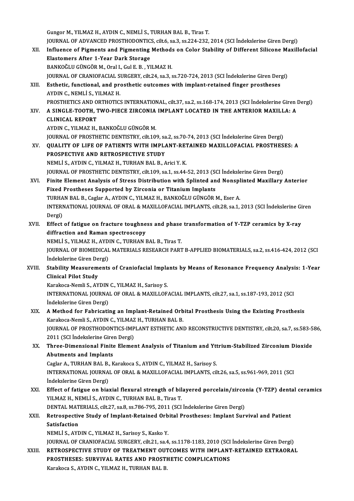Gungor M., YILMAZ H., AYDIN C., NEMLİ S., TURHAN BAL B., Tiras T. Gungor M., YILMAZ H., AYDIN C., NEMLİ S., TURHAN BAL B., Tiras T.<br>JOURNAL OF ADVANCED PROSTHODONTICS, cilt.6, sa.3, ss.224-232, 2014 (SCI İndekslerine Giren Dergi)<br>Influence of Bismonts and Bismonting Methods on Color Stab Gungor M., YILMAZ H., AYDIN C., NEMLİ S., TURHAN BAL B., Tiras T.<br>JOURNAL OF ADVANCED PROSTHODONTICS, cilt.6, sa.3, ss.224-232, 2014 (SCI İndekslerine Giren Dergi)<br>XII. Influence of Pigments and Pigmenting Methods on Color **JOURNAL OF ADVANCED PROSTHODONTIC<br>Influence of Pigments and Pigmenting<br>Elastomers After 1-Year Dark Storage<br>BANKOČLU CÜNCÖP M. Oral L Cul E B. VI** Influence of Pigments and Pigmenting Method:<br>Elastomers After 1-Year Dark Storage<br>BANKOĞLU GÜNGÖR M., Oral I., Gul E. B. , YILMAZ H.<br>JOUPNAL OF CRANJOFACIAL SURCERY sit 24, sa 2, s Elastomers After 1-Year Dark Storage<br>BANKOĞLU GÜNGÖR M., Oral I., Gul E. B. , YILMAZ H.<br>JOURNAL OF CRANIOFACIAL SURGERY, cilt.24, sa.3, ss.720-724, 2013 (SCI İndekslerine Giren Dergi) BANKOĞLU GÜNGÖR M., Oral I., Gul E. B. , YILMAZ H.<br>JOURNAL OF CRANIOFACIAL SURGERY, cilt.24, sa.3, ss.720-724, 2013 (SCI İndekslerine Giren Der;<br>XIII. Esthetic, functional, and prosthetic outcomes with implant-retained fin **JOURNAL OF CRANIOFACIAL S<br>Esthetic, functional, and pre<br>AYDIN C., NEMLİ S., YILMAZ H.<br>PROSTHETICS AND OPTHOTICS** Esthetic, functional, and prosthetic outcomes with implant-retained finger prostheses<br>AYDIN C., NEMLİ S., YILMAZ H.<br>PROSTHETICS AND ORTHOTICS INTERNATIONAL, cilt.37, sa.2, ss.168-174, 2013 (SCI İndekslerine Giren Dergi)<br>A AYDIN C., NEMLİ S., YILMAZ H.<br>PROSTHETICS AND ORTHOTICS INTERNATIONAL, cilt.37, sa.2, ss.168-174, 2013 (SCI İndekslerine Giren |<br>XIV. A SINGLE-TOOTH, TWO-PIECE ZIRCONIA IMPLANT LOCATED IN THE ANTERIOR MAXILLA: A<br>CLINIC PROSTHETICS AND O<br>A SINGLE-TOOTH, 1<br>CLINICAL REPORT<br>AVDIN C - YU MAZ H A SINGLE-TOOTH, TWO-PIECE ZIRCONIA<br>CLINICAL REPORT<br>AYDIN C., YILMAZ H., BANKOĞLU GÜNGÖR M.<br>IOUPNAL OF PROSTUETIC DENTISTRY\_sik 1.00 CLINICAL REPORT<br>AYDIN C., YILMAZ H., BANKOĞLU GÜNGÖR M.<br>JOURNAL OF PROSTHETIC DENTISTRY, cilt.109, sa.2, ss.70-74, 2013 (SCI İndekslerine Giren Dergi) AYDIN C., YILMAZ H., BANKOĞLU GÜNGÖR M.<br>JOURNAL OF PROSTHETIC DENTISTRY, cilt.109, sa.2, ss.70-74, 2013 (SCI İndekslerine Giren Dergi)<br>XV. QUALITY OF LIFE OF PATIENTS WITH IMPLANT-RETAINED MAXILLOFACIAL PROSTHESES: A **JOURNAL OF PROSTHETIC DENTISTRY, cilt.109, sa<br>QUALITY OF LIFE OF PATIENTS WITH IMPL/<br>PROSPECTIVE AND RETROSPECTIVE STUDY**<br>NEMLIS AVDING VILMAZH TUBHAN BALB A PROSPECTIVE AND RETROSPECTIVE STUDY<br>NEMLİ S., AYDIN C., YILMAZ H., TURHAN BAL B., Arici Y.K. PROSPECTIVE AND RETROSPECTIVE STUDY<br>NEMLİ S., AYDIN C., YILMAZ H., TURHAN BAL B., Arici Y. K.<br>JOURNAL OF PROSTHETIC DENTISTRY, cilt.109, sa.1, ss.44-52, 2013 (SCI İndekslerine Giren Dergi)<br>Finite Element Analysis of Strees XVI. Finite Element Analysis of Stress Distribution with Splinted and Nonsplinted Maxillary Anterior<br>Fixed Prostheses Supported by Zirconia or Titanium Implants JOURNAL OF PROSTHETIC DENTISTRY, cilt.109, sa.1, ss.44-52, 2013 (SCT)<br>Finite Element Analysis of Stress Distribution with Splinted an<br>Fixed Prostheses Supported by Zirconia or Titanium Implants<br>TUPHAN BAL B. Coclar A. AYDI Finite Element Analysis of Stress Distribution with Splinted and Nonspl<br>Fixed Prostheses Supported by Zirconia or Titanium Implants<br>TURHAN BAL B., Caglar A., AYDIN C., YILMAZ H., BANKOĞLU GÜNGÖR M., Eser A.<br>INTERNATIONAL J INTERNATIONAL JOURNAL OF ORAL & MAXILLOFACIAL IMPLANTS, cilt.28, sa.1, 2013 (SCI İndekslerine Giren<br>Dergi) TURHA<br>INTERI<br>Dergi)<br>Effect INTERNATIONAL JOURNAL OF ORAL & MAXILLOFACIAL IMPLANTS, cilt.28, sa.1, 2013 (SCI Indekslerine Gi<br>Dergi)<br>XVII. Effect of fatigue on fracture toughness and phase transformation of Y-TZP ceramics by X-ray<br>diffraction and Pama Dergi)<br>Effect of fatigue on fracture toughne<br>diffraction and Raman spectroscopy<br>NEMLİS XILMAZ HANDING TURHAN I Effect of fatigue on fracture toughness and phase<br>diffraction and Raman spectroscopy<br>NEMLİ S., YILMAZ H., AYDIN C., TURHAN BAL B., Tiras T.<br>JOUPMAL OF PIOMEDICAL MATERIALS PESEARCH PART diffraction and Raman spectroscopy<br>NEMLİ S., YILMAZ H., AYDIN C., TURHAN BAL B., Tiras T.<br>JOURNAL OF BIOMEDICAL MATERIALS RESEARCH PART B-APPLIED BIOMATERIALS, sa.2, ss.416-424, 2012 (SCI<br>İndekslerine Ciren Dergi) NEMLİ S., YILMAZ H., AYD<br>JOURNAL OF BIOMEDICAL<br>İndekslerine Giren Dergi)<br>Stability Measurements JOURNAL OF BIOMEDICAL MATERIALS RESEARCH PART B-APPLIED BIOMATERIALS, sa.2, ss.416-424, 2012 (SCI<br>Indekslerine Giren Dergi)<br>XVIII. Stability Measurements of Craniofacial Implants by Means of Resonance Frequency Analysis: 1 İndekslerine Giren Dergi)<br>Stability Measurements of Craniofacial Implants by Means of Resonance Frequency Analysis: 1-Year<br>Clinical Pilot Study Stability Measurements of Craniofacial Impla<br>Clinical Pilot Study<br>Karakoca-Nemli S., AYDIN C., YILMAZ H., Sarisoy S.<br>INTERNATIONAL JOURNAL OF ORAL & MAYU LOF INTERNATIONAL JOURNAL OF ORAL & MAXILLOFACIAL IMPLANTS, cilt.27, sa.1, ss.187-193, 2012 (SCI Indekslerine Giren Dergi) Karakoca-Nemli S., AYDIN<br>INTERNATIONAL JOURNA<br>İndekslerine Giren Dergi)<br>A Mathod for Eabricati INTERNATIONAL JOURNAL OF ORAL & MAXILLOFACIAL IMPLANTS, cilt.27, sa.1, ss.187-193, 2012 (SCI<br>Indekslerine Giren Dergi)<br>XIX. A Method for Fabricating an Implant-Retained Orbital Prosthesis Using the Existing Prosthesis<br>Kara İndekslerine Giren Dergi)<br>A Method for Fabricating an Implant-Retained Orb<br>Karakoca-Nemli S., AYDIN C., YILMAZ H., TURHAN BAL B.<br>JOUPNAL OF PROSTHODONTICS IMPLANT ESTHETIC ANI A Method for Fabricating an Implant-Retained Orbital Prosthesis Using the Existing Prosthesis<br>Karakoca-Nemli S., AYDIN C., YILMAZ H., TURHAN BAL B.<br>JOURNAL OF PROSTHODONTICS-IMPLANT ESTHETIC AND RECONSTRUCTIVE DENTISTRY, c Karakoca-Nemli S., AYDIN C., YILMAZ<br>JOURNAL OF PROSTHODONTICS-IMP<br>2011 (SCI İndekslerine Giren Dergi)<br>Three Dimensional Einite Elemes JOURNAL OF PROSTHODONTICS-IMPLANT ESTHETIC AND RECONSTRUCTIVE DENTISTRY, cilt.20, sa.7, ss.583-5<br>2011 (SCI İndekslerine Giren Dergi)<br>XX. Three-Dimensional Finite Element Analysis of Titanium and Yttrium-Stabilized Zirc 2011 (SCI Indekslerine Gire)<br>Three-Dimensional Finite<br>Abutments and Implants<br>Caslar A TUBHAN BALB K Three-Dimensional Finite Element Analysis of Titanium and Ytt<br>Abutments and Implants<br>Caglar A., TURHAN BAL B., Karakoca S., AYDIN C., YILMAZ H., Sarisoy S.<br>INTERNATIONAL JOURNAL OF ORAL & MAYU LOFACIAL IMPLANTS, Gil Abutments and Implants<br>Caglar A., TURHAN BAL B., Karakoca S., AYDIN C., YILMAZ H., Sarisoy S.<br>INTERNATIONAL JOURNAL OF ORAL & MAXILLOFACIAL IMPLANTS, cilt.26, sa.5, ss.961-969, 2011 (SCI<br>Indekslerine Giren Dergi) Caglar A., TURHAN BAL B., Karakoca S., AYDIN C., YILMAZ H., Sarisoy S. INTERNATIONAL JOURNAL OF ORAL & MAXILLOFACIAL IMPLANTS, cilt.26, sa.5, ss.961-969, 2011 (SCI<br>Indekslerine Giren Dergi)<br>XXI. Effect of fatigue on biaxial flexural strength of bilayered porcelain/zirconia (Y-TZP) dental cera İndekslerine Giren Dergi)<br>Effect of fatigue on biaxial flexural strength of bil<br>YILMAZ H., NEMLİ S., AYDIN C., TURHAN BAL B., Tiras T.<br>DENTAL MATERIALS. Silt 27, sa 8, sa 796, 795, 2011. (SCL Effect of fatigue on biaxial flexural strength of bilayered porcelain/zirco<br>YILMAZ H., NEMLİ S., AYDIN C., TURHAN BAL B., Tiras T.<br>DENTAL MATERIALS, cilt.27, sa.8, ss.786-795, 2011 (SCI İndekslerine Giren Dergi)<br>Petrespect YILMAZ H., NEMLİ S., AYDIN C., TURHAN BAL B., Tiras T.<br>DENTAL MATERIALS, cilt.27, sa.8, ss.786-795, 2011 (SCI İndekslerine Giren Dergi)<br>XXII. Retrospective Study of Implant-Retained Orbital Prostheses: Implant Survival DENTAL MATERIALS, cilt.27, sa.8, ss.786-795, 2011 (SCI İndekslerine Giren Dergi)<br>Retrospective Study of Implant-Retained Orbital Prostheses: Implant Sur<br>Satisfaction<br>NEMLI S., AYDIN C., YILMAZ H., Sarisoy S., Kasko Y. Retrospective Study of Implant-Retained Orb<br>Satisfaction<br>NEMLİ S., AYDIN C., YILMAZ H., Sarisoy S., Kasko Y.<br>JOUPMAL OF CRANJOFACIAL SURCERY, silt 21, so 4 Satisfaction<br>NEMLİ S., AYDIN C., YILMAZ H., Sarisoy S., Kasko Y.<br>JOURNAL OF CRANIOFACIAL SURGERY, cilt.21, sa.4, ss.1178-1183, 2010 (SCI İndekslerine Giren Dergi)<br>RETROSRECTIVE STUDY OF TREATMENT QUTCOMES WITH IMPLANT RETA NEMLİ S., AYDIN C., YILMAZ H., Sarisoy S., Kasko Y.<br>JOURNAL OF CRANIOFACIAL SURGERY, cilt.21, sa.4, ss.1178-1183, 2010 (SCI İndekslerine Giren Dergi)<br>XXIII. RETROSPECTIVE STUDY OF TREATMENT OUTCOMES WITH IMPLANT-RETAIN JOURNAL OF CRANIOFACIAL SURGERY, cilt.21, sa.4, ss.1178-1183, 2010 (SCI<br>RETROSPECTIVE STUDY OF TREATMENT OUTCOMES WITH IMPLANT<br>PROSTHESES: SURVIVAL RATES AND PROSTHETIC COMPLICATIONS<br>Karakasa S. AVDING VILMAZ H. TURHAN RAL RETROSPECTIVE STUDY OF TREATMENT OUTCOMES WITH IMPLANT-RETAINED EXTRAORAL PROSTHESES: SURVIVAL RATES AND PROSTHETIC COMPLICATIONS<br>Karakoca S., AYDIN C., YILMAZ H., TURHAN BAL B.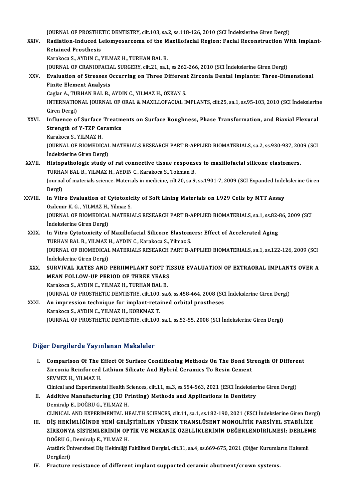JOURNAL OF PROSTHETIC DENTISTRY, cilt.103, sa.2, ss.118-126, 2010 (SCI İndekslerine Giren Dergi)<br>Padiation Indused Leiamusserseme of the Marillefesial Pesien: Fesiel Pescanstrustion Wi

## JOURNAL OF PROSTHETIC DENTISTRY, cilt.103, sa.2, ss.118-126, 2010 (SCI İndekslerine Giren Dergi)<br>XXIV. Radiation-Induced Leiomyosarcoma of the Maxillofacial Region: Facial Reconstruction With Implant-**JOURNAL OF PROSTHE<br>Radiation-Induced L<br>Retained Prosthesis**<br>Karakasa S. AVDING N Radiation-Induced Leiomyosarcoma of the M<br>Retained Prosthesis<br>Karakoca S., AYDIN C., YILMAZ H., TURHAN BAL B.<br>JOUPMAL OF CRANIOFACIAL SUPCERY si<sup>11</sup>21 sp.1 Retained Prosthesis<br>Karakoca S., AYDIN C., YILMAZ H., TURHAN BAL B.<br>JOURNAL OF CRANIOFACIAL SURGERY, cilt.21, sa.1, ss.262-266, 2010 (SCI İndekslerine Giren Dergi)<br>Fyaluation of Stresses Ossurring on Three Different Zirsen

Karakoca S., AYDIN C., YILMAZ H., TURHAN BAL B.<br>JOURNAL OF CRANIOFACIAL SURGERY, cilt.21, sa.1, ss.262-266, 2010 (SCI İndekslerine Giren Dergi)<br>XXV. Evaluation of Stresses Occurring on Three Different Zirconia Dental I **JOURNAL OF CRANIOFACIA**<br>Evaluation of Stresses C<br>Finite Element Analysis<br>Caslar A, TUBHAN BAL B Evaluation of Stresses Occurring on Three Differen<br>Finite Element Analysis<br>Caglar A., TURHAN BAL B., AYDIN C., YILMAZ H., ÖZKAN S.<br>INTERNATIONAL JOURNAL OF ORAL & MAYU LOFACIAL U

Finite Element Analysis<br>Caglar A., TURHAN BAL B., AYDIN C., YILMAZ H., ÖZKAN S.<br>INTERNATIONAL JOURNAL OF ORAL & MAXILLOFACIAL IMPLANTS, cilt.25, sa.1, ss.95-103, 2010 (SCI İndekslerine<br>Ciron Dergi) Caglar A., TUI<br>INTERNATIO<br>Giren Dergi)<br>Influence of INTERNATIONAL JOURNAL OF ORAL & MAXILLOFACIAL IMPLANTS, cilt.25, sa.1, ss.95-103, 2010 (SCI İndekslerin<br>Giren Dergi)<br>XXVI. Influence of Surface Treatments on Surface Roughness, Phase Transformation, and Biaxial Flexural<br>St

## Giren Dergi)<br>Influence of Surface Treatm<br>Strength of Y-TZP Ceramics<br>Karakoga S. VII MAZ H Influence of Surface<br>Strength of Y-TZP Ce<br>Karakoca S., YILMAZ H.<br>JOUPMAL OF PIOMEDIC

Strength of Y-TZP Ceramics<br>Karakoca S., YILMAZ H.<br>JOURNAL OF BIOMEDICAL MATERIALS RESEARCH PART B-APPLIED BIOMATERIALS, sa.2, ss.930-937, 2009 (SCI<br>İndekslerine Ciren Dergi) Karakoca S., YILMAZ H.<br>JOURNAL OF BIOMEDICAL<br>İndekslerine Giren Dergi)<br>Histonatbologia atudu c JOURNAL OF BIOMEDICAL MATERIALS RESEARCH PART B-APPLIED BIOMATERIALS, sa.2, ss.930-937, 200<br>Indekslerine Giren Dergi)<br>XXVII. Histopathologic study of rat connective tissue responses to maxillofacial silicone elastomers.<br>TU Indekslerine Giren Dergi)<br>Histopathologic study of rat connective tissue responses to maxillofacial silicone elastomers.

## TURHAN BAL B., YILMAZ H., AYDIN C., Karakoca S., Tokman B.

Journal of materials science. Materials in medicine, cilt.20, sa.9, ss.1901-7, 2009 (SCI Expanded İndekslerine Giren<br>Dergi) Journal of materials science. Materials in medicine, cilt.20, sa.9, ss.1901-7, 2009 (SCI Expanded Inde<br>Dergi)<br>XXVIII. In Vitro Evaluation of Cytotoxicity of Soft Lining Materials on L929 Cells by MTT Assay

## Dergi)<br>I<mark>n Vitro Evaluation of Cytotoxic</mark><br>Ozdemir K. G. , YILMAZ H., Yilmaz S.<br>JOUPNAL OF PIOMEDICAL MATERL In Vitro Evaluation of Cytotoxicity of Soft Lining Materials on L929 Cells by MTT Assay<br>Ozdemir K. G. , YILMAZ H., Yilmaz S.<br>JOURNAL OF BIOMEDICAL MATERIALS RESEARCH PART B-APPLIED BIOMATERIALS, sa.1, ss.82-86, 2009 (SCI<br>I Ozdemir K. G. , YILMAZ H., Yilmaz S.<br>JOURNAL OF BIOMEDICAL MATERIALS RESEARCH PART B-APPLIED BIOMATERIALS, sa.1, ss.82-86, 2009 (SCI<br>İndekslerine Giren Dergi)

- JOURNAL OF BIOMEDICAL MATERIALS RESEARCH PART B-APPLIED BIOMATERIALS, sa.1, ss.82-<br>Indekslerine Giren Dergi)<br>XXIX. In Vitro Cytotoxicity of Maxillofacial Silicone Elastomers: Effect of Accelerated Aging<br>TUBHAN BAL B, VILMA İndekslerine Giren Dergi)<br>In Vitro Cytotoxicity of Maxillofacial Silicone Elastom<br>TURHAN BAL B., YILMAZ H., AYDIN C., Karakoca S., Yilmaz S.<br>JOUPNAL OE PJOMEDICAL MATERIALS PESEARCH PAPT P. In Vitro Cytotoxicity of Maxillofacial Silicone Elastomers: Effect of Accelerated Aging<br>TURHAN BAL B., YILMAZ H., AYDIN C., Karakoca S., Yilmaz S.<br>JOURNAL OF BIOMEDICAL MATERIALS RESEARCH PART B-APPLIED BIOMATERIALS, sa.1, TURHAN BAL B., YILMAZ I<br>JOURNAL OF BIOMEDICAL<br>İndekslerine Giren Dergi)<br>SUBVIVAL BATES AND JOURNAL OF BIOMEDICAL MATERIALS RESEARCH PART B-APPLIED BIOMATERIALS, sa.1, ss.122-126, 2009 (SCI<br>indekslerine Giren Dergi)<br>XXX. SURVIVAL RATES AND PERIIMPLANT SOFT TISSUE EVALUATION OF EXTRAORAL IMPLANTS OVER A
- İndekslerine Giren Dergi)<br>SURVIVAL RATES AND PERIIMPLANT SOFT TI<br>MEAN FOLLOW-UP PERIOD OF THREE YEARS<br>Karakasa S. AYDING YU MAZ H. TUBHAN BAL B SURVIVAL RATES AND PERIIMPLANT SOFT T<br>MEAN FOLLOW-UP PERIOD OF THREE YEARS<br>Karakoca S., AYDIN C., YILMAZ H., TURHAN BAL B.<br>JOUPMAL OF PROSTUETIC DENTISTRY, silt 100, so. Karakoca S., AYDIN C., YILMAZ H., TURHAN BAL B.<br>JOURNAL OF PROSTHETIC DENTISTRY, cilt.100, sa.6, ss.458-464, 2008 (SCI İndekslerine Giren Dergi) Karakoca S., AYDIN C., YILMAZ H., TURHAN BAL B.<br>JOURNAL OF PROSTHETIC DENTISTRY, cilt.100, sa.6, ss.458-464, 2008 (SC<br>XXXI. An impression technique for implant-retained orbital prostheses<br>Karakoca S. AYDIN G. VILMAZ H. KOP
- **JOURNAL OF PROSTHETIC DENTISTRY, cilt.100,<br>An impression technique for implant-reta<br>Karakoca S., AYDIN C., YILMAZ H., KORKMAZ T.<br>JOUPNAL OF PROSTHETIC DENTISTRY, cilt.100,** Karakoca S., AYDIN C., YILMAZ H., KORKMAZ T.<br>JOURNAL OF PROSTHETIC DENTISTRY, cilt.100, sa.1, ss.52-55, 2008 (SCI İndekslerine Giren Dergi)

## Diğer Dergilerde Yayınlanan Makaleler

- Iger Dergilerde Yayınlanan Makaleler<br>I. Comparison Of The Effect Of Surface Conditioning Methods On The Bond Strength Of Different<br>Zirsonia Beinforsed Lithium Silisate And Hubrid Coromiss To Besin Coment 2 Defensive Pay Intention Prendreson<br>Comparison Of The Effect Of Surface Conditioning Methods On The Bond Sti<br>Zirconia Reinforced Lithium Silicate And Hybrid Ceramics To Resin Cement<br>SEVMEZ H. VILMAZ H Comparison Of The I<br>Zirconia Reinforced<br>SEVMEZ H., YILMAZ H.<br>Clinical and Experimen Zirconia Reinforced Lithium Silicate And Hybrid Ceramics To Resin Cement<br>SEVMEZ H., YILMAZ H.<br>Clinical and Experimental Health Sciences, cilt.11, sa.3, ss.554-563, 2021 (ESCI İndekslerine Giren Dergi) SEVMEZ H., YILMAZ H.<br>Clinical and Experimental Health Sciences, cilt.11, sa.3, ss.554-563, 2021 (ESCI İndeksler<br>II. Additive Manufacturing (3D Printing) Methods and Applications in Dentistry<br>Demiraln E. DOČPU.C. VILMAZ H.
- Clinical and Experimental Health S<br>**Additive Manufacturing (3D P**)<br>Demiralp E., DOĞRU G., YILMAZ H.<br>CLINICAL AND EXPERIMENTAL HI Additive Manufacturing (3D Printing) Methods and Applications in Dentistry<br>Demiralp E., DOĞRU G., YILMAZ H.<br>CLINICAL AND EXPERIMENTAL HEALTH SCIENCES, cilt.11, sa.1, ss.182-190, 2021 (ESCI İndekslerine Giren Dergi)<br>DİS HEK Demiralp E., DOĞRU G., YILMAZ H.<br>CLINICAL AND EXPERIMENTAL HEALTH SCIENCES, cilt.11, sa.1, ss.182-190, 2021 (ESCI İndekslerine Giren Der;<br>III. DİŞ HEKİMLİĞİNDE YENİ GELİŞTİRİLEN YÜKSEK TRANSLÜSENT MONOLİTİK PARSİYEL STABİL
- CLINICAL AND EXPERIMENTAL HEALTH SCIENCES, cilt.11, sa.1, ss.182-190, 2021 (ESCI İndekslerine Giren Dergi<br>DİŞ HEKİMLİĞİNDE YENİ GELİŞTİRİLEN YÜKSEK TRANSLÜSENT MONOLİTİK PARSİYEL STABİLİZE<br>ZİRKONYA SİSTEMLERİNİN OPTİK VE M III. DİŞ HEKİMLİĞİNDE YENİ GELİŞTİRİLEN YÜKSEK TRANSLÜSENT MONOLİTİK PARSİYEL STABİLİZE<br>ZİRKONYA SİSTEMLERİNİN OPTİK VE MEKANİK ÖZELLİKLERİNİN DEĞERLENDİRİLMESİ: DERLEMI<br>DOĞRU G., Demiralp E., YILMAZ H.<br>Atatürk Üniversites ZİRKONYA SİSTEMLERİNİN OPTİK VE MEKANİK ÖZELLİKLERİNİN DEĞERLENDİRİLMESİ: DERLEME<br>DOĞRU G., Demiralp E., YILMAZ H.<br>Atatürk Üniversitesi Diş Hekimliği Fakültesi Dergisi, cilt.31, sa.4, ss.669-675, 2021 (Diğer Kurumların Hak DOĞRU G., Demiralp E., YILMAZ H.

IV. Fracture resistance of different implant supported ceramic abutment/crown systems.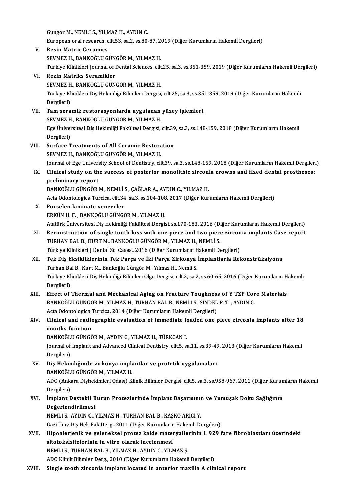Gungor M., NEMLİ S., YILMAZ H., AYDIN C. Gungor M., NEMLİ S., YILMAZ H., AYDIN C.<br>European oral research, cilt.53, sa.2, ss.80-87, 2019 (Diğer Kurumların Hakemli Dergileri)<br>Resin Matriy Goromias Gungor M., NEMLİ S., YILN<br>European oral research, c<br>V. Resin Matrix Ceramics<br>EEVMEZ U. PANKOČLU C

- European oral research, cilt.53, sa.2, ss.80-87, 20<br>Resin Matrix Ceramics<br>SEVMEZ H., BANKOĞLU GÜNGÖR M., YILMAZ H.<br>Turkiye Klinikleri Journal of Dental Sciences, cilt Resin Matrix Ceramics<br>SEVMEZ H., BANKOĞLU GÜNGÖR M., YILMAZ H.<br>Turkiye Klinikleri Journal of Dental Sciences, cilt.25, sa.3, ss.351-359, 2019 (Diğer Kurumların Hakemli Dergileri)<br>Regin Matriks Soromikler SEVMEZ H., BANKOĞLU GÜNGÖR M., YILMAZ H.<br>Turkiye Klinikleri Journal of Dental Sciences, cilt<br>VI. Rezin Matriks Seramikler Turkiye Klinikleri Journal of Dental Sciences, cilt<br><mark>Rezin Matriks Seramikler</mark><br>SEVMEZ H., BANKOĞLU GÜNGÖR M., YILMAZ H.<br>Türkiye Klinikleri Dis Hekimliği Bilimleri Dergisi Türkiye Klinikleri Diş Hekimliği Bilimleri Dergisi, cilt.25, sa.3, ss.351-359, 2019 (Diğer Kurumların Hakemli<br>Dergileri) SEVMEZ H., BANKOĞLU GÜNGÖR M., YILMAZ H. Türkiye Klinikleri Diş Hekimliği Bilimleri Dergisi, cilt.25, sa.3, ss.35<br>Dergileri)<br>VII. Tam seramik restorasyonlarda uygulanan yüzey işlemleri<br>SEVME7 U. BANKOĞI ILGÜNGÖB M. YU MA7 U Dergileri)<br>Tam seramik restorasyonlarda uygulanan<br>SEVMEZ H., BANKOĞLU GÜNGÖR M., YILMAZ H.<br>Fee Üniversitesi Dis Heltimliği Felsiltesi Dergisi Ege Üniversitesi Diş Hekimliği Fakültesi Dergisi, cilt.39, sa.3, ss.148-159, 2018 (Diğer Kurumların Hakemli<br>Dergileri) SEVMEZ H., BANKOĞLU GÜNGÖR M., YILMAZ H. VIII. Surface Treatments of All Ceramic Restoration SEVMEZH., BANKOĞLU GÜNGÖRM., YILMAZH. Surface Treatments of All Ceramic Restoration<br>SEVMEZ H., BANKOĞLU GÜNGÖR M., YILMAZ H.<br>Journal of Ege University School of Dentistry, cilt.39, sa.3, ss.148-159, 2018 (Diğer Kurumların Hakemli Dergileri)<br>Cliniaal study on t SEVMEZ H., BANKOĞLU GÜNGÖR M., YILMAZ H.<br>Journal of Ege University School of Dentistry, cilt.39, sa.3, ss.148-159, 2018 (Diğer Kurumların Hakemli Dergiler<br>IX. Clinical study on the success of posterior monolithic zirco **Journal of Ege Univer:<br>Clinical study on th<br>preliminary report**<br>PANKOČLU CÜNCÖR Clinical study on the success of posterior monolithic zircons<br>preliminary report<br>BANKOĞLU GÜNGÖR M., NEMLİ S., ÇAĞLAR A., AYDIN C., YILMAZ H.<br>Asta Odantalazisa Tursisa silt 34 sa 3 sa 104 109 3017 (Dižar Kun preliminary report<br>BANKOĞLU GÜNGÖR M., NEMLİ S., ÇAĞLAR A., AYDIN C., YILMAZ H.<br>Acta Odontologica Turcica, cilt.34, sa.3, ss.104-108, 2017 (Diğer Kurumların Hakemli Dergileri)<br>Perselan Jaminata vanearlar BANKOĞLU GÜNGÖR M., NEMLİ<br>Acta Odontologica Turcica, cilt.34<br>X. Porselen laminate veneerler<br>ERKÜN H E \_ RANKOĞLU CÜNCİ Acta Odontologica Turcica, cilt.34, sa.3, ss.104-108<br>Porselen laminate veneerler<br>ERKÜN H. F. , BANKOĞLU GÜNGÖR M., YILMAZ H.<br>Atatürk Üniversitesi Dis Hekimliği Fekültesi Dergi Porselen laminate veneerler<br>ERKÜN H. F. , BANKOĞLU GÜNGÖR M., YILMAZ H.<br>Atatürk Üniversitesi Diş Hekimliği Fakültesi Dergisi, ss.170-183, 2016 (Diğer Kurumların Hakemli Dergileri)<br>Begenstrustion of single teeth less with o ERKÜN H. F. , BANKOĞLU GÜNGÖR M., YILMAZ H.<br>Atatürk Üniversitesi Diş Hekimliği Fakültesi Dergisi, ss.170-183, 2016 (Diğer Kurumların Hakemli Dergileri)<br>XI. Reconstruction of single tooth loss with one piece and two pie Atatürk Üniversitesi Diş Hekimliği Fakültesi Dergisi, ss.170-183, 2016 (Di<br>Reconstruction of single tooth loss with one piece and two piece<br>TURHAN BAL B., KURT M., BANKOĞLU GÜNGÖR M., YILMAZ H., NEMLİ S.<br>Türkiye Klinikleri XI. Reconstruction of single tooth loss with one piece and two piece zirconia implants Case report TURHAN BAL B., KURT M., BANKOĞLU GÜNGÖR M., YILMAZ H., NEMLİ S. XII. Tek Diş Eksikliklerinin Tek Parça ve İki Parça Zirkonya İmplantlarla Rekonstrüksiyonu<br>Turhan Bal B., Kurt M., Bankoğlu Güngör M., Yılmaz H., Nemli S. Türkiye Klinikleri J Dental Sci Cases,, 2016 (Diğer Kurumların Hakemli Dergileri) Tek Diş Eksikliklerinin Tek Parça ve İki Parça Zirkonya İmplantlarla Rekonstrüksiyonu<br>Turhan Bal B., Kurt M., Bankoğlu Güngör M., Yılmaz H., Nemli S.<br>Türkiye Klinikleri Diş Hekimliği Bilimleri Olgu Dergisi, cilt.2, sa.2, s Turhan Ba<br>Türkiye Kl<br>Dergileri)<br>Effect of ' Türkiye Klinikleri Diş Hekimliği Bilimleri Olgu Dergisi, cilt.2, sa.2, ss.60-65, 2016 (Diğer Kurumların H<br>Dergileri)<br>XIII. Effect of Thermal and Mechanical Aging on Fracture Toughness of Y TZP Core Materials Dergileri)<br>Effect of Thermal and Mechanical Aging on Fracture Toughness of Y TZP Cor<br>BANKOĞLU GÜNGÖR M., YILMAZ H., TURHAN BAL B., NEMLİ S., SİNDEL P. T. , AYDIN C.<br>Asta Odantalasisa Tursisa 2014 (Diğar Kurumların Hakamli Effect of Thermal and Mechanical Aging on Fracture Toughnes:<br>BANKOĞLU GÜNGÖR M., YILMAZ H., TURHAN BAL B., NEMLİ S., SİNDEL<br>Acta Odontologica Turcica, 2014 (Diğer Kurumların Hakemli Dergileri)<br>Clinisal and radiosranhis eva BANKOĞLU GÜNGÖR M., YILMAZ H., TURHAN BAL B., NEMLİ S., SİNDEL P. T. , AYDIN C.<br>Acta Odontologica Turcica, 2014 (Diğer Kurumların Hakemli Dergileri)<br>XIV. Clinical and radiographic evaluation of immediate loaded one pie Acta Odontologica Turcica, 2014 (Diğer Kurumların Hakemli Dergileri)<br>Clinical and radiographic evaluation of immediate loaded one<br>months function<br>BANKOĞLU GÜNGÖR M.. AYDIN C.. YILMAZ H.. TÜRKCAN İ. Clinical and radiographic evaluation of immediate lend<br>months function<br>BANKOĞLU GÜNGÖR M., AYDIN C., YILMAZ H., TÜRKCAN İ.<br>Journal of Implant and Advanced Clinical Dentistru, silt 5, se months function<br>BANKOĞLU GÜNGÖR M., AYDIN C., YILMAZ H., TÜRKCAN İ.<br>Journal of Implant and Advanced Clinical Dentistry, cilt.5, sa.11, ss.39-49, 2013 (Diğer Kurumların Hakemli<br>Dergileri) BANKOĞL<br>Journal of<br>Dergileri)<br>Dis Hokin Journal of Implant and Advanced Clinical Dentistry, cilt.5, sa.11, ss.39-49<br>Dergileri)<br>XV. Diş Hekimliğinde zirkonya implantlar ve protetik uygulamaları<br>PANKOČU U CÜNCÖP M. YU MAZ H Dergileri)<br>Diş Hekimliğinde zirkonya impla<br>BANKOĞLU GÜNGÖR M., YILMAZ H.<br>ADO (Ankara Dishekimleri Odası) K Diş Hekimliğinde zirkonya implantlar ve protetik uygulamaları<br>BANKOĞLU GÜNGÖR M., YILMAZ H.<br>ADO (Ankara Dişhekimleri Odası) Klinik Bilimler Dergisi, cilt.5, sa.3, ss.958-967, 2011 (Diğer Kurumların Hakemli<br>Dergileri) BANKOĞL<br>ADO (Anka<br>Dergileri)<br>İmplant E ADO (Ankara Dişhekimleri Odası) Klinik Bilimler Dergisi, cilt.5, sa.3, ss.958-967, 2011 (Diğer Kurun<br>Dergileri)<br>XVI. İmplant Destekli Burun Protezlerinde İmplant Başarısının ve Yumuşak Doku Sağlığının<br>Değerlendirilmesi Dergileri)<br>İmplant Destekli B<br>Değerlendirilmesi<br>NEMLİS AVDIN GA İmplant Destekli Burun Protezlerinde İmplant Başarısınıı<br>Değerlendirilmesi<br>NEMLİ S., AYDIN C., YILMAZ H., TURHAN BAL B., KAŞKO ARICI Y.<br>Ceri Üniy Die Hels Fels Derg. 2011 (Diğer Kunumların Helsemli D. Değerlendirilmesi<br>NEMLİ S., AYDIN C., YILMAZ H., TURHAN BAL B., KAŞKO ARICI Y.<br>Gazi Üniv Diş Hek Fak Derg., 2011 (Diğer Kurumların Hakemli Dergileri) NEMLİ S., AYDIN C., YILMAZ H., TURHAN BAL B., KAŞKO ARICI Y.<br>Gazi Üniv Diş Hek Fak Derg., 2011 (Diğer Kurumların Hakemli Dergileri)<br>XVII. Hipoalerjenik ve geleneksel protez kaide materyallerinin L 929 fare fibroblastla Gazi Üniv Diş Hek Fak Derg., 2011 (Diğer Kurumlarır<br>Hipoalerjenik ve geleneksel protez kaide mate:<br>sitotoksisitelerinin in vitro olarak incelenmesi<br>NEMLİS, TURHAN BAL B, VU MAZ H, AVDIN G, VU M Hipoalerjenik ve geleneksel protez kaide materyalle:<br>sitotoksisitelerinin in vitro olarak incelenmesi<br>NEMLİ S., TURHAN BAL B., YILMAZ H., AYDIN C., YILMAZ Ş.<br>ADO Klinik Bilimlar Darg. 2010 (Dižar Kunumların Hakamli sitotoksisitelerinin in vitro olarak incelenmesi<br>NEMLİ S., TURHAN BAL B., YILMAZ H., AYDIN C., YILMAZ Ş.<br>ADO Klinik Bilimler Derg., 2010 (Diğer Kurumların Hakemli Dergileri)
- XVIII. Single tooth zirconia implant located in anterior maxilla A clinical report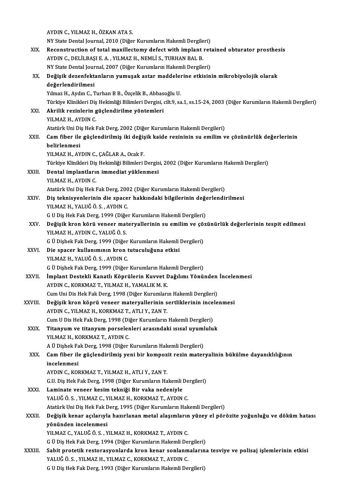|         | AYDIN C., YILMAZ H., ÖZKAN ATA S.                                                                                                  |
|---------|------------------------------------------------------------------------------------------------------------------------------------|
|         | NY State Dental Journal, 2010 (Diğer Kurumların Hakemli Dergileri)                                                                 |
| XIX.    | Reconstruction of total maxillectomy defect with implant retained obturator prosthesis                                             |
|         | AYDIN C., DELİLBAŞI E. A., YILMAZ H., NEMLİ S., TURHAN BAL B.                                                                      |
|         | NY State Dental Journal, 2007 (Diğer Kurumların Hakemli Dergileri)                                                                 |
| XX.     | Değişik dezenfektanların yumuşak astar maddelerine etkisinin mikrobiyolojik olarak                                                 |
|         | değerlendirilmesi                                                                                                                  |
|         | Yılmaz H., Aydın C., Turhan B B., Özçelik B., Abbasoğlu U.                                                                         |
|         | Türkiye Klinikleri Diş Hekimliği Bilimleri Dergisi, cilt.9, sa.1, ss.15-24, 2003 (Diğer Kurumların Hakemli Dergileri)              |
| XXI.    | Akrilik rezinlerin güçlendirilme yöntemleri                                                                                        |
|         | YILMAZ H., AYDIN C.                                                                                                                |
|         | Atatürk Uni Diş Hek Fak Derg, 2002 (Diğer Kurumların Hakemli Dergileri)                                                            |
| XXII.   | Cam fiber ile güçlendirilmiş iki değişik kaide rezininin su emilim ve çözünürlük değerlerinin                                      |
|         | belirlenmesi                                                                                                                       |
|         | YILMAZ H., AYDIN C., ÇAĞLAR A., Ocak F.                                                                                            |
|         | Türkiye Klinikleri Diş Hekimliği Bilimleri Dergisi, 2002 (Diğer Kurumların Hakemli Dergileri)                                      |
| XXIII.  | Dental implantların immediat yüklenmesi<br>YILMAZ H., AYDIN C.                                                                     |
|         | Atatürk Uni Diş Hek Fak Derg, 2002 (Diğer Kurumların Hakemli Dergileri)                                                            |
| XXIV.   | Diş teknisyenlerinin die spacer hakkındaki bilgilerinin değerlendirilmesi                                                          |
|         | YILMAZ H., YALUĞ Ö. S., AYDIN C.                                                                                                   |
|         | G U Diş Hek Fak Derg, 1999 (Diğer Kurumların Hakemli Dergileri)                                                                    |
| XXV.    | Değişik kron körü veneer materyallerinin su emilim ve çözünürlük değerlerinin tespit edilmesi                                      |
|         | YILMAZ H, AYDIN C, YALUĞ Ö. S.                                                                                                     |
|         | G Ü Dişhek Fak Derg, 1999 (Diğer Kurumların Hakemli Dergileri)                                                                     |
| XXVI.   | Die spacer kullanımının kron tutuculuğuna etkisi                                                                                   |
|         | YILMAZ H., YALUĞ Ö. S., AYDIN C.                                                                                                   |
|         | G Ü Dişhek Fak Derg, 1999 (Diğer Kurumların Hakemli Dergileri)                                                                     |
| XXVII.  | İmplant Destekli Kanatlı Köprülerin Kuvvet Dağılımı Yönünden İncelenmesi                                                           |
|         | AYDIN C., KORKMAZ T., YILMAZ H., YAMALIK M. K.                                                                                     |
|         | Cum Uni Dis Hek Fak Derg, 1998 (Diğer Kurumların Hakemli Dergileri)                                                                |
| XXVIII. | Değişik kron köprü veneer materyallerinin sertliklerinin incelenmesi                                                               |
|         | AYDIN C., YILMAZ H., KORKMAZ T., ATLI Y., ZAN T.                                                                                   |
| XXIX.   | Cum U Dis Hek Fak Derg, 1998 (Diğer Kurumların Hakemli Dergileri)<br>Titanyum ve titanyum porselenleri arasındaki ısısal uyumluluk |
|         | YILMAZ H., KORKMAZ T., AYDIN C.                                                                                                    |
|         | A Ü Dişhek Fak Derg, 1998 (Diğer Kurumların Hakemli Dergileri)                                                                     |
| XXX.    | Cam fiber ile güçlendirilmiş yeni bir kompozit rezin materyalinin bükülme dayanıklılığının                                         |
|         | incelenmesi                                                                                                                        |
|         | AYDIN C., KORKMAZ T., YILMAZ H., ATLI Y., ZAN T.                                                                                   |
|         | G.U. Diş Hek Fak Derg, 1998 (Diğer Kurumların Hakemli Dergileri)                                                                   |
| XXXI.   | Laminate veneer kesim tekniği Bir vaka nedeniyle                                                                                   |
|         | YALUĞ Ö. S., YILMAZ C., YILMAZ H., KORKMAZ T., AYDIN C.                                                                            |
|         | Atatürk Uni Diş Hek Fak Derg, 1995 (Diğer Kurumların Hakemli Dergileri)                                                            |
| XXXII.  | Değişik kenar açılarıyla hazırlanan metal alaşımların yüzey el pörözite yoğunluğu ve döküm hatası                                  |
|         | yönünden incelenmesi                                                                                                               |
|         | YILMAZ C., YALUĞ Ö. S., YILMAZ H., KORKMAZ T., AYDIN C.                                                                            |
|         | G Ü Diş Hek Fak Derg, 1994 (Diğer Kurumların Hakemli Dergileri)                                                                    |
| XXXIII. | Sabit protetik restorasyonlarda kron kenar sonlanmalarına tesviye ve polisaj işlemlerinin etkisi                                   |
|         | YALUĞ Ö. S., YILMAZ H., YILMAZ C., KORKMAZ T., AYDIN C.                                                                            |
|         | G U Diş Hek Fak Derg, 1993 (Diğer Kurumların Hakemli Dergileri)                                                                    |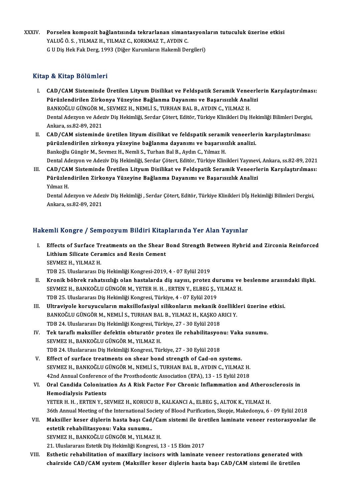XXXIV. Porselen kompozit bağlantısında tekrarlanan simantasyonların tutuculuk üzerine etkisi<br>XALUĞÖ S. YU MAZ H. YU MAZ G. KORKMAZ T. AYDIN G Porselen kompozit bağlantısında tekrarlanan simant<br>YALUĞ Ö. S. , YILMAZ H., YILMAZ C., KORKMAZ T., AYDIN C.<br>C.U.Diş Hek Fek Ders 1993 (Diğer Kurumların Hekemli De Porselen kompozit bağlantısında tekrarlanan simantasyonl<br>YALUĞ Ö. S. , YILMAZ H., YILMAZ C., KORKMAZ T., AYDIN C.<br>G U Diş Hek Fak Derg, 1993 (Diğer Kurumların Hakemli Dergileri) G U Diş Hek Fak Derg, 1993 (Diğer Kurumların Hakemli Dergileri)<br>Kitap & Kitap Bölümleri

- Itap & Kitap Bölümleri<br>I. CAD/CAM Sisteminde Üretilen Lityum Disilikat ve Feldspatik Seramik Veneerlerin Karşılaştırılması:<br>Rünüzlendirilen Zirkenye Vüzeyine Beğlenme Deyenımı ve Besenyeylik Anelizi Pürülen Dörümleri<br>CAD/CAM Sisteminde Üretilen Lityum Disilikat ve Feldspatik Seramik Veneerle<br>Pürüzlendirilen Zirkonya Yüzeyine Bağlanma Dayanımı ve Başarısızlık Analizi<br>PANKOČLU CÜNCÖP M. SEVMEZ H. NEMLİ S. TURHAN PAL P. CAD/CAM Sisteminde Üretilen Lityum Disilikat ve Feldspatik Seramik Vene<br>Pürüzlendirilen Zirkonya Yüzeyine Bağlanma Dayanımı ve Başarısızlık Anal<br>BANKOĞLU GÜNGÖR M., SEVMEZ H., NEMLİ S., TURHAN BAL B., AYDIN C., YILMAZ H.<br>D Pürüzlendirilen Zirkonya Yüzeyine Bağlanma Dayanımı ve Başarısızlık Analizi<br>BANKOĞLU GÜNGÖR M., SEVMEZ H., NEMLİ S., TURHAN BAL B., AYDIN C., YILMAZ H.<br>Dental Adezyon ve Adeziv Diş Hekimliği, Serdar Çötert, Editör, Türkiye BANKOĞLU GÜNGÖR M., SEVMEZ H., NEMLİ S., TURHAN BAL B., AYDIN C., YILMAZ H. Dental Adezyon ve Adeziv Diş Hekimliği, Serdar Çötert, Editör, Türkiye Klinikleri Diş Hekimliği Bilimleri Dergisi<br>Ankara, ss.82-89, 2021<br>II. CAD/CAM sisteminde üretilen lityum disilikat ve feldspatik seramik veneerlerin ka
- Ankara, ss.82-89, 2021<br>CAD/CAM sisteminde üretilen lityum disilikat ve feldspatik seramik veneerlen<br>pürüzlendirilen zirkonya yüzeyine bağlanma dayanımı ve başarısızlık analizi.<br>Bankağlı Güngör M. Saymar H. Namli S. Turban CAD/CAM sisteminde üretilen lityum disilikat ve feldspatik serami<br>pürüzlendirilen zirkonya yüzeyine bağlanma dayanımı ve başarısı:<br>Bankoğlu Güngör M., Sevmez H., Nemli S., Turhan Bal B., Aydın C., Yılmaz H.<br>Dental Adewso v pürüzlendirilen zirkonya yüzeyine bağlanma dayanımı ve başarısızlık analizi.<br>Bankoğlu Güngör M., Sevmez H., Nemli S., Turhan Bal B., Aydın C., Yılmaz H.<br>Dental Adezyon ve Adeziv Diş Hekimliği, Serdar Çötert, Editör, Türkiy
- III. CAD/CAM Sisteminde Üretilen Lityum Disilikat ve Feldspatik Seramik Veneerlerin Karşılaştırılması: Dental Adezyon ve Adeziv Diş Hekimliği, Serdar Çötert, Editör, Türkiye Klinikleri Yayınev<br>CAD/CAM Sisteminde Üretilen Lityum Disilikat ve Feldspatik Seramik Veneerlı<br>Pürüzlendirilen Zirkonya Yüzeyine Bağlanma Dayanımı ve B CAD/CA<br>Pürüzler<br>Yılmaz H.<br>Dental Ad

Yılmaz H.<br>Dental Adezyon ve Adeziv Diş Hekimliği , Serdar Çötert, Editör, Türkiye Klinikleri Dİş Hekimliği Bilimleri Dergisi, Ankara, ss.82-89,2021

## Hakemli Kongre / Sempozyum Bildiri Kitaplarında Yer Alan Yayınlar

- akemli Kongre / Sempozyum Bildiri Kitaplarında Yer Alan Yayınlar<br>I. Effects of Surface Treatments on the Shear Bond Strength Between Hybrid and Zirconia Reinforced<br>I. ithium Silisate Coromics and Bosin Coment Effects of Surface Treatments on the Shear I<br>Lithium Silicate Ceramics and Resin Cement<br>SEVMEZ H, VII MAZ H Effects of Surface Tr<br>Lithium Silicate Cera<br>SEVMEZ H., YILMAZ H.<br>TDP 25 Uluelereres: D Lithium Silicate Ceramics and Resin Cement<br>SEVMEZ H., YILMAZ H.<br>TDB 25. Uluslararası Diş Hekimliği Kongresi-2019, 4 - 07 Eylül 2019
	-
- II. Kronik böbrek rahatsızlığı olan hastalarda diş sayısı, protez durumu ve beslenme arasındaki ilişki. TDB 25. Uluslararası Diş Hekimliği Kongresi-2019, 4 - 07 Eylül 2019<br>Kronik böbrek rahatsızlığı olan hastalarda diş sayısı, protez durumu ve<br>SEVMEZ H., BANKOĞLU GÜNGÖR M., YETER H. H. , ERTEN Y., ELBEG Ş., YILMAZ H.<br>TDR 25. Kronik böbrek rahatsızlığı olan hastalarda diş sayısı, protez du<br>SEVMEZ H., BANKOĞLU GÜNGÖR M., YETER H. H. , ERTEN Y., ELBEG Ş., Y<br>TDB 25. Uluslararası Diş Hekimliği Kongresi, Türkiye, 4 - 07 Eylül 2019<br>Ultreviyele konuvu
- TDB 25. Uluslararası Diş Hekimliği Kongresi, Türkiye, 4 07 Eylül 2019<br>III. Ultraviyole koruyucuların maksillofasiyal silikonların mekanik özellikleri üzerine etkisi. TDB 25. Uluslararası Diş Hekimliği Kongresi, Türkiye, 4 - 07 Eylül 2019<br>Ultraviyole koruyucuların maksillofasiyal silikonların mekanik özellikl<br>BANKOĞLU GÜNGÖR M., NEMLİ S., TURHAN BAL B., YILMAZ H., KAŞKO ARICI Y.<br>TDB 24. Ultraviyole koruyucuların maksillofasiyal silikonların mekanik ö<br>BANKOĞLU GÜNGÖR M., NEMLİ S., TURHAN BAL B., YILMAZ H., KAŞKO A<br>TDB 24. Uluslararası Diş Hekimliği Kongresi, Türkiye, 27 - 30 Eylül 2018<br>Tek taraflı maksille BANKOĞLU GÜNGÖR M., NEMLİ S., TURHAN BAL B., YILMAZ H., KAŞKO ARICI Y.<br>TDB 24. Uluslararası Diş Hekimliği Kongresi, Türkiye, 27 - 30 Eylül 2018<br>IV. Tek taraflı maksiller defektin obturatör protez ile rehabilitasyonu: Vaka
- TDB 24. Uluslararası Diş Hekimliği Kongresi, Türkiye, 27 30 Eylül 2018<br>Tek taraflı maksiller defektin obturatör protez ile rehabilitasyo<br>SEVMEZ H., BANKOĞLU GÜNGÖR M., YILMAZ H.<br>TDB 24. Uluslararası Diş Hekimliği Kongres IV. Tek taraflı maksiller defektin obturatör protez ile rehabilitasyonu: Vaka sunumu.
- V. Effect of surface treatments on shear bond strength of Cad-on systems. TDB 24. Uluslararası Diş Hekimliği Kongresi, Türkiye, 27 - 30 Eylül 2018<br>Effect of surface treatments on shear bond strength of Cad-on systems.<br>SEVMEZ H., BANKOĞLU GÜNGÖR M., NEMLİ S., TURHAN BAL B., AYDIN C., YILMAZ H.<br>42 Effect of surface treatments on shear bond strength of Cad-on systems.<br>SEVMEZ H., BANKOĞLU GÜNGÖR M., NEMLİ S., TURHAN BAL B., AYDIN C., YILMAZ H.<br>42nd Annual Conference of the Prosthodontic Association (EPA), 13 - 15 Eylü SEVMEZ H., BANKOĞLU GÜNGÖR M., NEMLİ S., TURHAN BAL B., AYDIN C., YILMAZ H.<br>42nd Annual Conference of the Prosthodontic Association (EPA), 13 - 15 Eylül 2018<br>VI. Oral Candida Colonization As A Risk Factor For Chronic I
- 42nd Annual Conference of the Prosthodontic Association (EPA), 13 15 Eylül 2018<br>Oral Candida Colonization As A Risk Factor For Chronic Inflammation and Atheros<br>Hemodialysis Patients<br>YETER H. H. , ERTEN Y., SEVMEZ H., KOR Oral Candida Colonization As A Risk Factor For Chronic Inflammation and Atheros<br>Hemodialysis Patients<br>YETER H. H. , ERTEN Y., SEVMEZ H., KORUCU B., KALKANCI A., ELBEG Ş., ALTOK K., YILMAZ H.<br>26th Annual Meeting of the Inte 36th Annual Meeting of the International Society of Blood Purification, Skopje, Makedonya, 6 - 09 Eylül 2018 YETER H. H. , ERTEN Y., SEVMEZ H., KORUCU B., KALKANCI A., ELBEG Ş., ALTOK K., YILMAZ H.<br>36th Annual Meeting of the International Society of Blood Purification, Skopje, Makedonya, 6 - 09 Eylül 2018<br>VII. Maksiller keser diş
- 36th Annual Meeting of the International Sc<br>Maksiller keser dişlerin hasta başı Cad<br>estetik rehabilitasyonu: Vaka sunumu.<br>SEVMEZ H. PANKOČLU CÜNCÖR M. VU MA Maksiller keser dişlerin hasta başı Cad/Ca<br>estetik rehabilitasyonu: Vaka sunumu..<br>SEVMEZ H., BANKOĞLU GÜNGÖR M., YILMAZ H.<br>21. Uluelereres: Estetik Dis Helsimliği Konsresi 1 estetik rehabilitasyonu: Vaka sunumu..<br>SEVMEZ H., BANKOĞLU GÜNGÖR M., YILMAZ H.<br>21. Uluslararası Estetik Diş Hekimliği Kongresi, 13 - 15 Ekim 2017
	-
- SEVMEZ H., BANKOĞLU GÜNGÖR M., YILMAZ H.<br>21. Uluslararası Estetik Diş Hekimliği Kongresi, 13 15 Ekim 2017<br>VIII. Bisthetic rehabilitation of maxillary incisors with laminate veneer restorations generated with<br>chairside CA 21. Uluslararası Estetik Diş Hekimliği Kongresi, 13 - 15 Ekim 2017<br>Esthetic rehabilitation of maxillary incisors with laminate veneer restorations generated wit<br>chairside CAD/CAM system (Maksiller keser dişlerin hasta başı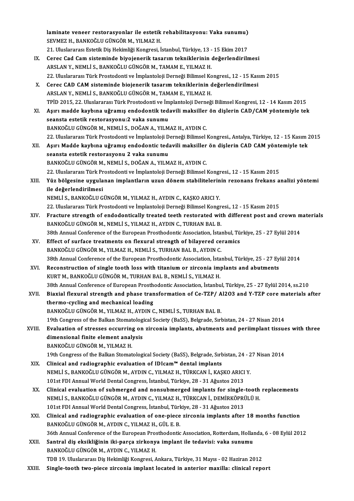laminate veneer restorasyonlar ile estetik rehabilitasyonu: Vaka sunumu) laminate veneer restorasyonlar ile estetik<br>SEVMEZ H., BANKOĞLU GÜNGÖR M., YILMAZ H.<br>21. Uluelereres: Estetik Dis Helsmliği Kongresi, İ laminate veneer restorasyonlar ile estetik rehabilitasyonu: Vaka sunumu)<br>SEVMEZ H., BANKOĞLU GÜNGÖR M., YILMAZ H.<br>21. Uluslararası Estetik Diş Hekimliği Kongresi, İstanbul, Türkiye, 13 - 15 Ekim 2017<br>Seres God Cem sistemin SEVMEZ H., BANKOĞLU GÜNGÖR M., YILMAZ H.<br>21. Uluslararası Estetik Diş Hekimliği Kongresi, İstanbul, Türkiye, 13 - 15 Ekim 2017<br>IX. Cerec Cad Cam sisteminde biyojenerik tasarım tekniklerinin değerlendirilmesi ARSLAN Y., NEMLİ S., BANKOĞLU GÜNGÖR M., TAMAM E., YILMAZ H. 22.UluslararasıTürkProstodontive İmplantolojiDerneğiBilimselKongresi.,12 -15Kasım2015 ARSLAN Y., NEMLİ S., BANKOĞLU GÜNGÖR M., TAMAM E., YILMAZ H.<br>22. Uluslararası Türk Prostodonti ve İmplantoloji Derneği Bilimsel Kongresi., 12 - 15 Kas<br>X. Cerec CAD CAM sisteminde biojenerik tasarım tekniklerinin değerlendi 22. Uluslararası Türk Prostodonti ve İmplantoloji Derneği Bilimsel Ko<br>Cerec CAD CAM sisteminde biojenerik tasarım tekniklerinin d<br>ARSLAN Y., NEMLİ S., BANKOĞLU GÜNGÖR M., TAMAM E., YILMAZ H.<br>TPİD 2015-22. Uluslararası Türk ARSLAN Y., NEMLİ S., BANKOĞLU GÜNGÖR M., TAMAM E., YILMAZ H.<br>TPİD 2015, 22. Uluslararası Türk Prostodonti ve İmplantoloji Derneği Bilimsel Kongresi, 12 - 14 Kasım 2015 ARSLAN Y., NEMLİ S., BANKOĞLU GÜNGÖR M., TAMAM E., YILMAZ H.<br>TPİD 2015, 22. Uluslararası Türk Prostodonti ve İmplantoloji Derneği Bilimsel Kongresi, 12 - 14 Kasım 2015<br>XI. Aşırı madde kaybına uğramış endodontik tedavili ma TPİD 2015, 22. Uluslararası Türk Prostodonti ve İm<br>Aşırı madde kaybına uğramış endodontik ted<br>seansta estetik restorasyonu:2 vaka sunumu<br>PANKOČU U CÜNCÖP M. NEMLİ S. DOČAN A. VU M Aşırı madde kaybına uğramış endodontik tedavili maksiller<br>seansta estetik restorasyonu:2 vaka sunumu<br>BANKOĞLU GÜNGÖR M., NEMLİ S., DOĞAN A., YILMAZ H., AYDIN C.<br>22 Uluslaranası Türk Prestedenti ve İmplenteleji Derneği Bili seansta estetik restorasyonu:2 vaka sunumu<br>BANKOĞLU GÜNGÖR M., NEMLİ S., DOĞAN A., YILMAZ H., AYDIN C.<br>22. Uluslararası Türk Prostodonti ve İmplantoloji Derneği Bilimsel Kongresi., Antalya, Türkiye, 12 - 15 Kasım 2015 BANKOĞLU GÜNGÖR M., NEMLİ S., DOĞAN A., YILMAZ H., AYDIN C.<br>22. Uluslararası Türk Prostodonti ve İmplantoloji Derneği Bilimsel Kongresi., Antalya, Türkiye, 12 - 15 Kasım<br>XII. Aşırı Madde kaybına uğramış endodontic tedavili seansta estetik restorasyonu 2 vaka sunumu<br>BANKOĞLU GÜNGÖR M., NEMLİ S., DOĞAN A., YILMAZ H., AYDIN C. Aşırı Madde kaybına uğramış endodontic tedavili maksiller<br>seansta estetik restorasyonu 2 vaka sunumu<br>BANKOĞLU GÜNGÖR M., NEMLİ S., DOĞAN A., YILMAZ H., AYDIN C.<br>22 Uluslaranası Türk Prestedenti ve İmplenteleji Derneği Bili seansta estetik restorasyonu 2 vaka sunumu<br>BANKOĞLU GÜNGÖR M., NEMLİ S., DOĞAN A., YILMAZ H., AYDIN C.<br>22. Uluslararası Türk Prostodonti ve İmplantoloji Derneği Bilimsel Kongresi., 12 - 15 Kasım 2015<br>Yüz bölgesine uygulana XIII. Yüz bölgesine uygulanan implantların uzun dönem stabilitelerinin rezonans frekans analizi yöntemi<br>ile değerlendirilmesi 22. Uluslararası Türk Pr<br>Yüz bölgesine uygula<br>ile değerlendirilmesi<br>NEMLİS, BANKOĞLU G NEMLİ S.,BANKOĞLUGÜNGÖRM.,YILMAZH.,AYDINC.,KAŞKOARICIY. ile değerlendirilmesi<br>NEMLİ S., BANKOĞLU GÜNGÖR M., YILMAZ H., AYDIN C., KAŞKO ARICI Y.<br>22. Uluslararası Türk Prostodonti ve İmplantoloji Derneği Bilimsel Kongresi., 12 - 15 Kasım 2015<br>Erasture strength of andodontiselly t XIV. Fracture strength of endodontically treated teeth restorated with different post and crown materials<br>BANKOĞLU GÜNGÖR M., NEMLİ S., YILMAZ H., AYDIN C., TURHAN BAL B. 22. Uluslararası Türk Prostodonti ve İmplantoloji Derneği Bilimsel Kongr<br>Fracture strength of endodontically treated teeth restorated wit<br>BANKOĞLU GÜNGÖR M., NEMLİ S., YILMAZ H., AYDIN C., TURHAN BAL B.<br>29th Annual Confere Fracture strength of endodontically treated teeth restorated with different post and crown m<br>BANKOĞLU GÜNGÖR M., NEMLİ S., YILMAZ H., AYDIN C., TURHAN BAL B.<br>38th Annual Conference of the European Prosthodontic Association BANKOĞLU GÜNGÖR M., NEMLİ S., YILMAZ H., AYDIN C., TURHAN BAL B.<br>38th Annual Conference of the European Prosthodontic Association, İstanbul, Tü<br>XV. Effect of surface treatments on flexural strength of bilayered ceramics<br>BA 38th Annual Conference of the European Prosthodontic Association, İstandal<br>Effect of surface treatments on flexural strength of bilayered ce<br>BANKOĞLU GÜNGÖR M., YILMAZ H., NEMLİ S., TURHAN BAL B., AYDIN C.<br>29th Annual Conf Effect of surface treatments on flexural strength of bilayered ceramics<br>BANKOĞLU GÜNGÖR M., YILMAZ H., NEMLİ S., TURHAN BAL B., AYDIN C.<br>38th Annual Conference of the European Prosthodontic Association, İstanbul, Türkiye, BANKOĞLU GÜNGÖR M., YILMAZ H., NEMLİ S., TURHAN BAL B., AYDIN C.<br>38th Annual Conference of the European Prosthodontic Association, İstanbul, Türkiye, 25 - 27 Ey<br>XVI. Reconstruction of single tooth loss with titanium or Reconstruction of single tooth loss with titanium or zirconia implants and abutments KURT M., BANKOĞLU GÜNGÖR M., TURHAN BAL B., NEMLİ S., YILMAZ H. Reconstruction of single tooth loss with titanium or zirconia implants and abutments<br>KURT M., BANKOĞLU GÜNGÖR M., TURHAN BAL B., NEMLİ S., YILMAZ H.<br>38th Annual Conference of European Prosthodontic Association, İstanbul, T KURT M., BANKOĞLU GÜNGÖR M., TURHAN BAL B., NEMLİ S., YILMAZ H.<br>38th Annual Conference of European Prosthodontic Association, İstanbul, Türkiye, 25 - 27 Eylül 2014, ss.210<br>38th Annual flexural strength and phase transforma 38th Annual Conference of European Prosth<br>Biaxial flexural strength and phase tran<br>thermo-cycling and mechanical loading<br>BANKOČU U CÜNCÖB M. VU MAZ H. AYDIN C Biaxial flexural strength and phase transformation of Ce-TZP/ A<br>thermo-cycling and mechanical loading<br>BANKOĞLU GÜNGÖR M., YILMAZ H., AYDIN C., NEMLİ S., TURHAN BAL B.<br>19th Congress of the Ballan Stematelegical Segiety (BoS thermo-cycling and mechanical loading<br>19th Congress of the Balkan Stomatological Society (BaSS), Belgrade, Sırbistan, 24 - 27 Nisan 2014<br>19th Congress of the Balkan Stomatological Society (BaSS), Belgrade, Sırbistan, 24 - BANKOĞLU GÜNGÖR M., YILMAZ H., AYDIN C., NEMLİ S., TURHAN BAL B.<br>19th Congress of the Balkan Stomatological Society (BaSS), Belgrade, Sırbistan, 24 - 27 Nisan 2014<br>XVIII. Evaluation of stresses occurring on zirconia implan 19th Congress of the Balkan Stomatolog<br>Evaluation of stresses occurring on<br>dimensional finite element analysis<br>RANIZOČI II CÜNCÖR M. VII MAZ H Evaluation of stresses occurring<br>dimensional finite element anal<br>BANKOĞLU GÜNGÖR M., YILMAZ H.<br>19th Congress of the Bellian Stemat dimensional finite element analysis<br>BANKOĞLU GÜNGÖR M., YILMAZ H.<br>19th Congress of the Balkan Stomatological Society (BaSS), Belgrade, Sırbistan, 24 - 27 Nisan 2014<br>Clinisal and radiographic evaluation of IDIsam™ dental i BANKOĞLU GÜNGÖR M., YILMAZ H.<br>19th Congress of the Balkan Stomatological Society (BaSS), Belgrade, Sırk<br>XIX. Clinical and radiographic evaluation of IDIcam™ dental implants<br>NEMLİ S. PANKOĞLU CÜNCÖR M. AVDIN G. VU MAZ H. T 19th Congress of the Balkan Stomatological Society (BaSS), Belgrade, Sırbistan, 24 - 2<br>Clinical and radiographic evaluation of IDIcam™ dental implants<br>NEMLİ S., BANKOĞLU GÜNGÖR M., AYDIN C., YILMAZ H., TÜRKCAN İ., KAŞKO A Clinical and radiographic evaluation of IDIcam™ dental implants<br>NEMLİ S., BANKOĞLU GÜNGÖR M., AYDIN C., YILMAZ H., TÜRKCAN İ., KAŞKO ARICI<br>101st FDI Annual World Dental Congress, İstanbul, Türkiye, 28 - 31 Ağustos 2013<br>Cl NEMLİ S., BANKOĞLU GÜNGÖR M., AYDIN C., YILMAZ H., TÜRKCAN İ., KAŞKO ARICI Y.<br>101st FDI Annual World Dental Congress, İstanbul, Türkiye, 28 - 31 Ağustos 2013<br>XX. Clinical evaluation of submerged and nonsubmerged implants f 101st FDI Annual World Dental Congress, İstanbul, Türkiye, 28 - 31 Ağustos 2013<br>Clinical evaluation of submerged and nonsubmerged implants for single-tooth<br>NEMLİ S., BANKOĞLU GÜNGÖR M., AYDIN C., YILMAZ H., TÜRKCAN İ., DEM Clinical evaluation of submerged and nonsubmerged implants for single-<br>NEMLİ S., BANKOĞLU GÜNGÖR M., AYDIN C., YILMAZ H., TÜRKCAN İ., DEMİRKÖPRİ<br>101st FDI Annual World Dental Congress, İstanbul, Türkiye, 28 - 31 Ağustos 20 NEMLİ S., BANKOĞLU GÜNGÖR M., AYDIN C., YILMAZ H., TÜRKCAN İ., DEMİRKÖPRÜLÜ H.<br>101st FDI Annual World Dental Congress, İstanbul, Türkiye, 28 - 31 Ağustos 2013<br>XXI. Clinical and radiographic evaluation of one-piece zirc 101st FDI Annual World Dental Congress, İstanbul, Türkiye, 28 - 31 Ağustos 2013 36th Annual Conference of the European Prosthodontic Association, Rotterdam, Hollanda, 6 - 08 Eylül 2012 BANKOĞLU GÜNGÖR M., AYDIN C., YILMAZ H., GÜL E. B.<br>36th Annual Conference of the European Prosthodontic Association, Rotterdam, Hollai<br>XXII. Santral diş eksikliğinin iki-parça zirkonya implant ile tedavisi: vaka sunumu<br>PAN 36th Annual Conference of the European Pros<br>Santral diş eksikliğinin iki-parça zirkony<br>BANKOĞLU GÜNGÖR M., AYDIN C., YILMAZ H.<br>TDB 10 Uluslaranası Diş Halimliği Kangrasi A BANKOĞLU GÜNGÖR M., AYDIN C., YILMAZ H.<br>TDB 19. Uluslararası Diş Hekimliği Kongresi, Ankara, Türkiye, 31 Mayıs - 02 Haziran 2012 XXIII. Single-tooth two-piece zirconia implant located in anterior maxilla: clinical report